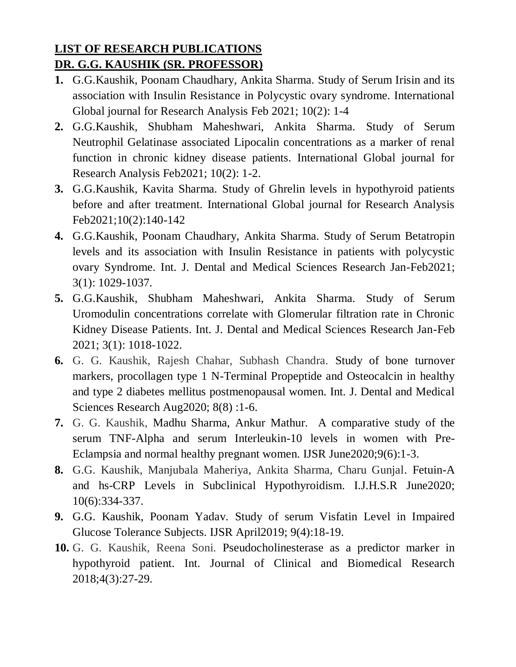#### **LIST OF RESEARCH PUBLICATIONS DR. G.G. KAUSHIK (SR. PROFESSOR)**

- **1.** G.G.Kaushik, Poonam Chaudhary, Ankita Sharma. Study of Serum Irisin and its association with Insulin Resistance in Polycystic ovary syndrome. International Global journal for Research Analysis Feb 2021; 10(2): 1-4
- **2.** G.G.Kaushik, Shubham Maheshwari, Ankita Sharma. Study of Serum Neutrophil Gelatinase associated Lipocalin concentrations as a marker of renal function in chronic kidney disease patients. International Global journal for Research Analysis Feb2021; 10(2): 1-2.
- **3.** G.G.Kaushik, Kavita Sharma. Study of Ghrelin levels in hypothyroid patients before and after treatment. International Global journal for Research Analysis Feb2021;10(2):140-142
- **4.** G.G.Kaushik, Poonam Chaudhary, Ankita Sharma. Study of Serum Betatropin levels and its association with Insulin Resistance in patients with polycystic ovary Syndrome. Int. J. Dental and Medical Sciences Research Jan-Feb2021; 3(1): 1029-1037.
- **5.** G.G.Kaushik, Shubham Maheshwari, Ankita Sharma. Study of Serum Uromodulin concentrations correlate with Glomerular filtration rate in Chronic Kidney Disease Patients. Int. J. Dental and Medical Sciences Research Jan-Feb 2021; 3(1): 1018-1022.
- **6.** G. G. Kaushik, Rajesh Chahar, Subhash Chandra. Study of bone turnover markers, procollagen type 1 N-Terminal Propeptide and Osteocalcin in healthy and type 2 diabetes mellitus postmenopausal women. Int. J. Dental and Medical Sciences Research Aug2020; 8(8) :1-6.
- **7.** G. G. Kaushik, Madhu Sharma, Ankur Mathur. A comparative study of the serum TNF-Alpha and serum Interleukin-10 levels in women with Pre-Eclampsia and normal healthy pregnant women. IJSR June2020;9(6):1-3.
- **8.** G.G. Kaushik, Manjubala Maheriya, Ankita Sharma, Charu Gunjal. Fetuin-A and hs-CRP Levels in Subclinical Hypothyroidism. I.J.H.S.R June2020; 10(6):334-337.
- **9.** G.G. Kaushik, Poonam Yadav. Study of serum Visfatin Level in Impaired Glucose Tolerance Subjects. IJSR April2019; 9(4):18-19.
- **10.** G. G. Kaushik, Reena Soni. Pseudocholinesterase as a predictor marker in hypothyroid patient. Int. Journal of Clinical and Biomedical Research 2018;4(3):27-29.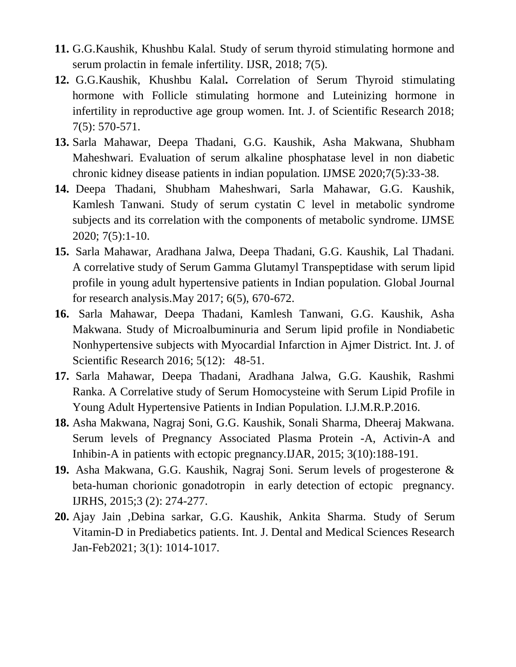- **11.** G.G.Kaushik, Khushbu Kalal. Study of serum thyroid stimulating hormone and serum prolactin in female infertility. IJSR, 2018; 7(5).
- **12.** G.G.Kaushik, Khushbu Kalal**.** Correlation of Serum Thyroid stimulating hormone with Follicle stimulating hormone and Luteinizing hormone in infertility in reproductive age group women. Int. J. of Scientific Research 2018; 7(5): 570-571.
- **13.** Sarla Mahawar, Deepa Thadani, G.G. Kaushik, Asha Makwana, Shubham Maheshwari. Evaluation of serum alkaline phosphatase level in non diabetic chronic kidney disease patients in indian population. IJMSE 2020;7(5):33-38.
- **14.** Deepa Thadani, Shubham Maheshwari, Sarla Mahawar, G.G. Kaushik, Kamlesh Tanwani. Study of serum cystatin C level in metabolic syndrome subjects and its correlation with the components of metabolic syndrome. IJMSE 2020; 7(5):1-10.
- **15.** Sarla Mahawar, Aradhana Jalwa, Deepa Thadani, G.G. Kaushik, Lal Thadani. A correlative study of Serum Gamma Glutamyl Transpeptidase with serum lipid profile in young adult hypertensive patients in Indian population. Global Journal for research analysis.May 2017; 6(5), 670-672.
- **16.** Sarla Mahawar, Deepa Thadani, Kamlesh Tanwani, G.G. Kaushik, Asha Makwana. Study of Microalbuminuria and Serum lipid profile in Nondiabetic Nonhypertensive subjects with Myocardial Infarction in Ajmer District. Int. J. of Scientific Research 2016; 5(12): 48-51.
- **17.** Sarla Mahawar, Deepa Thadani, Aradhana Jalwa, G.G. Kaushik, Rashmi Ranka. A Correlative study of Serum Homocysteine with Serum Lipid Profile in Young Adult Hypertensive Patients in Indian Population. I.J.M.R.P.2016.
- **18.** Asha Makwana, Nagraj Soni, G.G. Kaushik, Sonali Sharma, Dheeraj Makwana. Serum levels of Pregnancy Associated Plasma Protein -A, Activin-A and Inhibin-A in patients with ectopic pregnancy.IJAR, 2015; 3(10):188-191.
- **19.** Asha Makwana, G.G. Kaushik, Nagraj Soni. Serum levels of progesterone & beta-human chorionic gonadotropin in early detection of ectopic pregnancy. IJRHS, 2015;3 (2): 274-277.
- **20.** Ajay Jain ,Debina sarkar, G.G. Kaushik, Ankita Sharma. Study of Serum Vitamin-D in Prediabetics patients. Int. J. Dental and Medical Sciences Research Jan-Feb2021; 3(1): 1014-1017.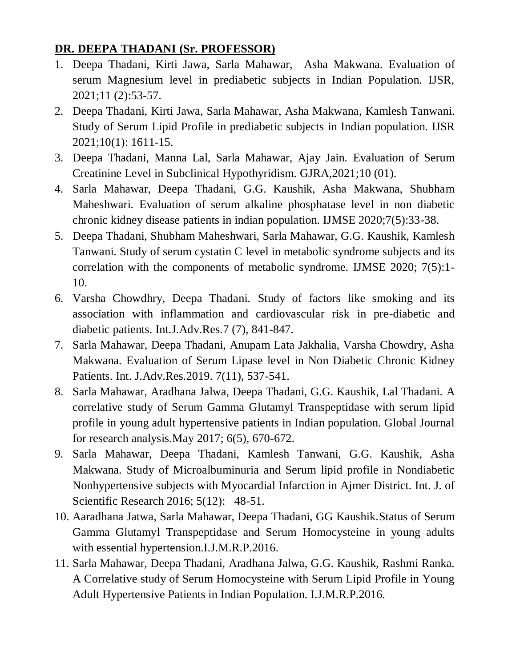#### **DR. DEEPA THADANI (Sr. PROFESSOR)**

- 1. Deepa Thadani, Kirti Jawa, Sarla Mahawar, Asha Makwana. Evaluation of serum Magnesium level in prediabetic subjects in Indian Population. IJSR, 2021;11 (2):53-57.
- 2. Deepa Thadani, Kirti Jawa, Sarla Mahawar, Asha Makwana, Kamlesh Tanwani. Study of Serum Lipid Profile in prediabetic subjects in Indian population. IJSR 2021;10(1): 1611-15.
- 3. Deepa Thadani, Manna Lal, Sarla Mahawar, Ajay Jain. Evaluation of Serum Creatinine Level in Subclinical Hypothyridism. GJRA,2021;10 (01).
- 4. Sarla Mahawar, Deepa Thadani, G.G. Kaushik, Asha Makwana, Shubham Maheshwari. Evaluation of serum alkaline phosphatase level in non diabetic chronic kidney disease patients in indian population. IJMSE 2020;7(5):33-38.
- 5. Deepa Thadani, Shubham Maheshwari, Sarla Mahawar, G.G. Kaushik, Kamlesh Tanwani. Study of serum cystatin C level in metabolic syndrome subjects and its correlation with the components of metabolic syndrome. IJMSE 2020; 7(5):1- 10.
- 6. Varsha Chowdhry, Deepa Thadani. Study of factors like smoking and its association with inflammation and cardiovascular risk in pre-diabetic and diabetic patients. Int.J.Adv.Res.7 (7), 841-847.
- 7. Sarla Mahawar, Deepa Thadani, Anupam Lata Jakhalia, Varsha Chowdry, Asha Makwana. Evaluation of Serum Lipase level in Non Diabetic Chronic Kidney Patients. Int. J.Adv.Res.2019. 7(11), 537-541.
- 8. Sarla Mahawar, Aradhana Jalwa, Deepa Thadani, G.G. Kaushik, Lal Thadani. A correlative study of Serum Gamma Glutamyl Transpeptidase with serum lipid profile in young adult hypertensive patients in Indian population. Global Journal for research analysis.May 2017; 6(5), 670-672.
- 9. Sarla Mahawar, Deepa Thadani, Kamlesh Tanwani, G.G. Kaushik, Asha Makwana. Study of Microalbuminuria and Serum lipid profile in Nondiabetic Nonhypertensive subjects with Myocardial Infarction in Ajmer District. Int. J. of Scientific Research 2016; 5(12): 48-51.
- 10. Aaradhana Jatwa, Sarla Mahawar, Deepa Thadani, GG Kaushik.Status of Serum Gamma Glutamyl Transpeptidase and Serum Homocysteine in young adults with essential hypertension.I.J.M.R.P.2016.
- 11. Sarla Mahawar, Deepa Thadani, Aradhana Jalwa, G.G. Kaushik, Rashmi Ranka. A Correlative study of Serum Homocysteine with Serum Lipid Profile in Young Adult Hypertensive Patients in Indian Population. I.J.M.R.P.2016.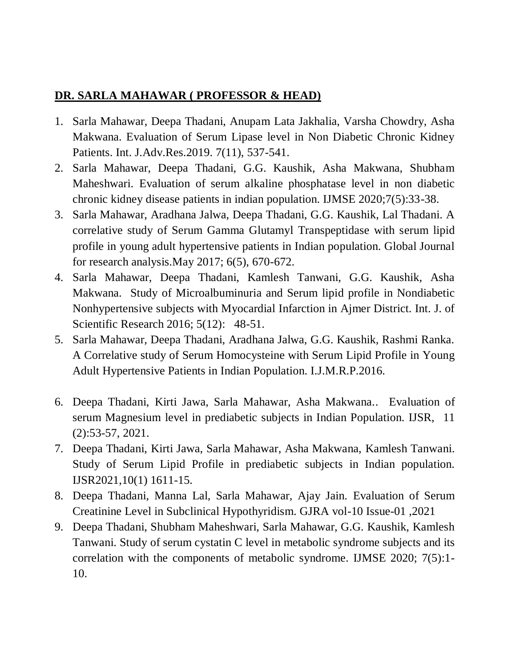#### **DR. SARLA MAHAWAR ( PROFESSOR & HEAD)**

- 1. Sarla Mahawar, Deepa Thadani, Anupam Lata Jakhalia, Varsha Chowdry, Asha Makwana. Evaluation of Serum Lipase level in Non Diabetic Chronic Kidney Patients. Int. J.Adv.Res.2019. 7(11), 537-541.
- 2. Sarla Mahawar, Deepa Thadani, G.G. Kaushik, Asha Makwana, Shubham Maheshwari. Evaluation of serum alkaline phosphatase level in non diabetic chronic kidney disease patients in indian population. IJMSE 2020;7(5):33-38.
- 3. Sarla Mahawar, Aradhana Jalwa, Deepa Thadani, G.G. Kaushik, Lal Thadani. A correlative study of Serum Gamma Glutamyl Transpeptidase with serum lipid profile in young adult hypertensive patients in Indian population. Global Journal for research analysis.May 2017; 6(5), 670-672.
- 4. Sarla Mahawar, Deepa Thadani, Kamlesh Tanwani, G.G. Kaushik, Asha Makwana. Study of Microalbuminuria and Serum lipid profile in Nondiabetic Nonhypertensive subjects with Myocardial Infarction in Ajmer District. Int. J. of Scientific Research 2016; 5(12): 48-51.
- 5. Sarla Mahawar, Deepa Thadani, Aradhana Jalwa, G.G. Kaushik, Rashmi Ranka. A Correlative study of Serum Homocysteine with Serum Lipid Profile in Young Adult Hypertensive Patients in Indian Population. I.J.M.R.P.2016.
- 6. Deepa Thadani, Kirti Jawa, Sarla Mahawar, Asha Makwana.. Evaluation of serum Magnesium level in prediabetic subjects in Indian Population. IJSR, 11 (2):53-57, 2021.
- 7. Deepa Thadani, Kirti Jawa, Sarla Mahawar, Asha Makwana, Kamlesh Tanwani. Study of Serum Lipid Profile in prediabetic subjects in Indian population. IJSR2021,10(1) 1611-15.
- 8. Deepa Thadani, Manna Lal, Sarla Mahawar, Ajay Jain. Evaluation of Serum Creatinine Level in Subclinical Hypothyridism. GJRA vol-10 Issue-01 ,2021
- 9. Deepa Thadani, Shubham Maheshwari, Sarla Mahawar, G.G. Kaushik, Kamlesh Tanwani. Study of serum cystatin C level in metabolic syndrome subjects and its correlation with the components of metabolic syndrome. IJMSE 2020; 7(5):1- 10.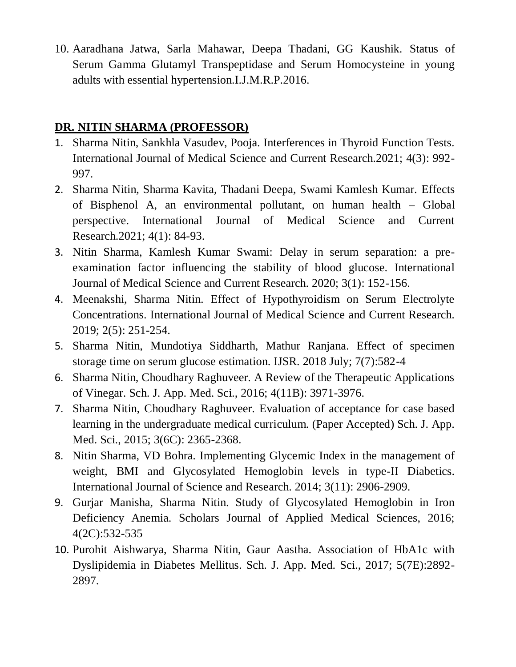10. Aaradhana Jatwa, Sarla Mahawar, Deepa Thadani, GG Kaushik. Status of Serum Gamma Glutamyl Transpeptidase and Serum Homocysteine in young adults with essential hypertension.I.J.M.R.P.2016.

#### **DR. NITIN SHARMA (PROFESSOR)**

- 1. Sharma Nitin, Sankhla Vasudev, Pooja. Interferences in Thyroid Function Tests. International Journal of Medical Science and Current Research.2021; 4(3): 992- 997.
- 2. Sharma Nitin, Sharma Kavita, Thadani Deepa, Swami Kamlesh Kumar. Effects of Bisphenol A, an environmental pollutant, on human health – Global perspective. International Journal of Medical Science and Current Research.2021; 4(1): 84-93.
- 3. Nitin Sharma, Kamlesh Kumar Swami: Delay in serum separation: a preexamination factor influencing the stability of blood glucose. International Journal of Medical Science and Current Research. 2020; 3(1): 152-156.
- 4. Meenakshi, Sharma Nitin. Effect of Hypothyroidism on Serum Electrolyte Concentrations. International Journal of Medical Science and Current Research. 2019; 2(5): 251-254.
- 5. Sharma Nitin, Mundotiya Siddharth, Mathur Ranjana. Effect of specimen storage time on serum glucose estimation. IJSR. 2018 July; 7(7):582-4
- 6. Sharma Nitin, Choudhary Raghuveer. A Review of the Therapeutic Applications of Vinegar. Sch. J. App. Med. Sci., 2016; 4(11B): 3971-3976.
- 7. Sharma Nitin, Choudhary Raghuveer. Evaluation of acceptance for case based learning in the undergraduate medical curriculum. (Paper Accepted) Sch. J. App. Med. Sci., 2015; 3(6C): 2365-2368.
- 8. Nitin Sharma, VD Bohra. Implementing Glycemic Index in the management of weight, BMI and Glycosylated Hemoglobin levels in type-II Diabetics. International Journal of Science and Research. 2014; 3(11): 2906-2909.
- 9. Gurjar Manisha, Sharma Nitin. Study of Glycosylated Hemoglobin in Iron Deficiency Anemia. Scholars Journal of Applied Medical Sciences, 2016; 4(2C):532-535
- 10. Purohit Aishwarya, Sharma Nitin, Gaur Aastha. Association of HbA1c with Dyslipidemia in Diabetes Mellitus. Sch. J. App. Med. Sci., 2017; 5(7E):2892- 2897.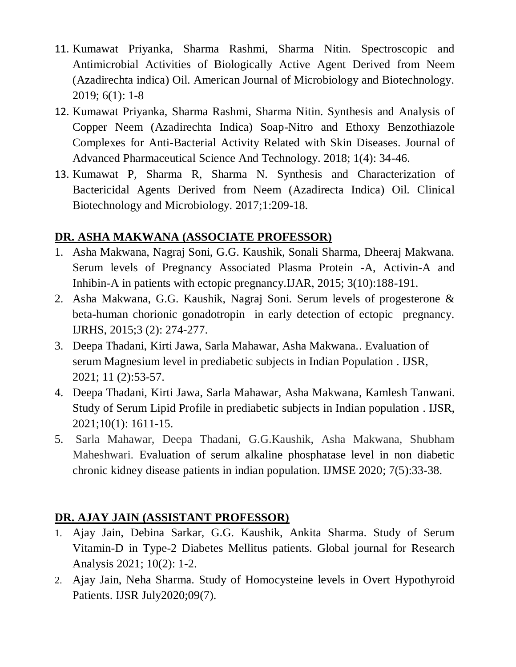- 11. Kumawat Priyanka, Sharma Rashmi, Sharma Nitin. Spectroscopic and Antimicrobial Activities of Biologically Active Agent Derived from Neem (Azadirechta indica) Oil. American Journal of Microbiology and Biotechnology. 2019; 6(1): 1-8
- 12. Kumawat Priyanka, Sharma Rashmi, Sharma Nitin. Synthesis and Analysis of Copper Neem (Azadirechta Indica) Soap-Nitro and Ethoxy Benzothiazole Complexes for Anti-Bacterial Activity Related with Skin Diseases. Journal of Advanced Pharmaceutical Science And Technology. 2018; 1(4): 34-46.
- 13. Kumawat P, Sharma R, Sharma N. Synthesis and Characterization of Bactericidal Agents Derived from Neem (Azadirecta Indica) Oil. Clinical Biotechnology and Microbiology. 2017;1:209-18.

#### **DR. ASHA MAKWANA (ASSOCIATE PROFESSOR)**

- 1. Asha Makwana, Nagraj Soni, G.G. Kaushik, Sonali Sharma, Dheeraj Makwana. Serum levels of Pregnancy Associated Plasma Protein -A, Activin-A and Inhibin-A in patients with ectopic pregnancy.IJAR, 2015; 3(10):188-191.
- 2. Asha Makwana, G.G. Kaushik, Nagraj Soni. Serum levels of progesterone & beta-human chorionic gonadotropin in early detection of ectopic pregnancy. IJRHS, 2015;3 (2): 274-277.
- 3. Deepa Thadani, Kirti Jawa, Sarla Mahawar, Asha Makwana.. Evaluation of serum Magnesium level in prediabetic subjects in Indian Population . IJSR, 2021; 11 (2):53-57.
- 4. Deepa Thadani, Kirti Jawa, Sarla Mahawar, Asha Makwana, Kamlesh Tanwani. Study of Serum Lipid Profile in prediabetic subjects in Indian population . IJSR, 2021;10(1): 1611-15.
- 5. Sarla Mahawar, Deepa Thadani, G.G.Kaushik, Asha Makwana, Shubham Maheshwari. Evaluation of serum alkaline phosphatase level in non diabetic chronic kidney disease patients in indian population. IJMSE 2020; 7(5):33-38.

#### **DR. AJAY JAIN (ASSISTANT PROFESSOR)**

- 1. Ajay Jain, Debina Sarkar, G.G. Kaushik, Ankita Sharma. Study of Serum Vitamin-D in Type-2 Diabetes Mellitus patients. Global journal for Research Analysis 2021; 10(2): 1-2.
- 2. Ajay Jain, Neha Sharma. Study of Homocysteine levels in Overt Hypothyroid Patients. IJSR July2020;09(7).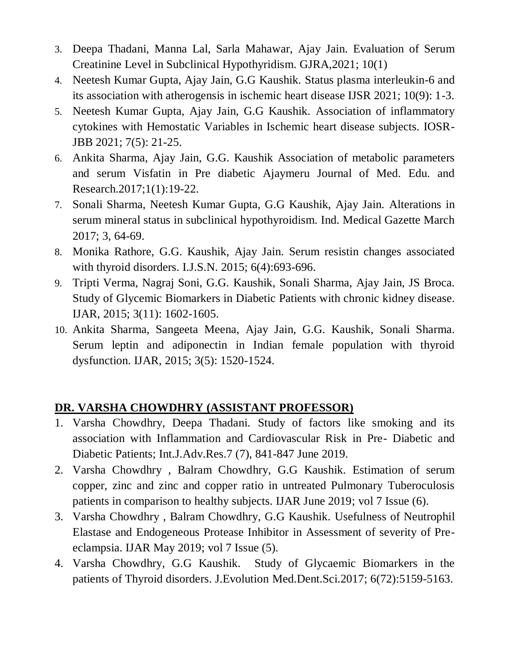- 3. Deepa Thadani, Manna Lal, Sarla Mahawar, Ajay Jain. Evaluation of Serum Creatinine Level in Subclinical Hypothyridism. GJRA,2021; 10(1)
- 4. Neetesh Kumar Gupta, Ajay Jain, G.G Kaushik. Status plasma interleukin-6 and its association with atherogensis in ischemic heart disease IJSR 2021; 10(9): 1-3.
- 5. Neetesh Kumar Gupta, Ajay Jain, G.G Kaushik. Association of inflammatory cytokines with Hemostatic Variables in Ischemic heart disease subjects. IOSR-JBB 2021; 7(5): 21-25.
- 6. Ankita Sharma, Ajay Jain, G.G. Kaushik Association of metabolic parameters and serum Visfatin in Pre diabetic Ajaymeru Journal of Med. Edu. and Research.2017;1(1):19-22.
- 7. Sonali Sharma, Neetesh Kumar Gupta, G.G Kaushik, Ajay Jain. Alterations in serum mineral status in subclinical hypothyroidism. Ind. Medical Gazette March 2017; 3, 64-69.
- 8. Monika Rathore, G.G. Kaushik, Ajay Jain. Serum resistin changes associated with thyroid disorders. I.J.S.N. 2015; 6(4):693-696.
- 9. Tripti Verma, Nagraj Soni, G.G. Kaushik, Sonali Sharma, Ajay Jain, JS Broca. Study of Glycemic Biomarkers in Diabetic Patients with chronic kidney disease. IJAR, 2015; 3(11): 1602-1605.
- 10. Ankita Sharma, Sangeeta Meena, Ajay Jain, G.G. Kaushik, Sonali Sharma. Serum leptin and adiponectin in Indian female population with thyroid dysfunction. IJAR, 2015; 3(5): 1520-1524.

## **DR. VARSHA CHOWDHRY (ASSISTANT PROFESSOR)**

- 1. Varsha Chowdhry, Deepa Thadani. Study of factors like smoking and its association with Inflammation and Cardiovascular Risk in Pre- Diabetic and Diabetic Patients; Int.J.Adv.Res.7 (7), 841-847 June 2019.
- 2. Varsha Chowdhry , Balram Chowdhry, G.G Kaushik. Estimation of serum copper, zinc and zinc and copper ratio in untreated Pulmonary Tuberoculosis patients in comparison to healthy subjects. IJAR June 2019; vol 7 Issue (6).
- 3. Varsha Chowdhry , Balram Chowdhry, G.G Kaushik. Usefulness of Neutrophil Elastase and Endogeneous Protease Inhibitor in Assessment of severity of Preeclampsia. IJAR May 2019; vol 7 Issue (5).
- 4. Varsha Chowdhry, G.G Kaushik. Study of Glycaemic Biomarkers in the patients of Thyroid disorders. J.Evolution Med.Dent.Sci.2017; 6(72):5159-5163.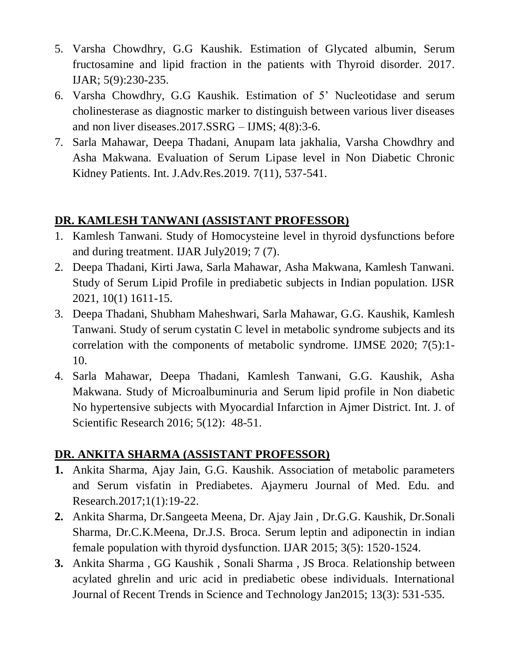- 5. Varsha Chowdhry, G.G Kaushik. Estimation of Glycated albumin, Serum fructosamine and lipid fraction in the patients with Thyroid disorder. 2017. IJAR; 5(9):230-235.
- 6. Varsha Chowdhry, G.G Kaushik. Estimation of 5' Nucleotidase and serum cholinesterase as diagnostic marker to distinguish between various liver diseases and non liver diseases. $2017.SSRG - IJMS$ ;  $4(8):3-6$ .
- 7. Sarla Mahawar, Deepa Thadani, Anupam lata jakhalia, Varsha Chowdhry and Asha Makwana. Evaluation of Serum Lipase level in Non Diabetic Chronic Kidney Patients. Int. J.Adv.Res.2019. 7(11), 537-541.

## **DR. KAMLESH TANWANI (ASSISTANT PROFESSOR)**

- 1. Kamlesh Tanwani. Study of Homocysteine level in thyroid dysfunctions before and during treatment. IJAR July2019; 7 (7).
- 2. Deepa Thadani, Kirti Jawa, Sarla Mahawar, Asha Makwana, Kamlesh Tanwani. Study of Serum Lipid Profile in prediabetic subjects in Indian population. IJSR 2021, 10(1) 1611-15.
- 3. Deepa Thadani, Shubham Maheshwari, Sarla Mahawar, G.G. Kaushik, Kamlesh Tanwani. Study of serum cystatin C level in metabolic syndrome subjects and its correlation with the components of metabolic syndrome. IJMSE 2020; 7(5):1- 10.
- 4. Sarla Mahawar, Deepa Thadani, Kamlesh Tanwani, G.G. Kaushik, Asha Makwana. Study of Microalbuminuria and Serum lipid profile in Non diabetic No hypertensive subjects with Myocardial Infarction in Ajmer District. Int. J. of Scientific Research 2016; 5(12): 48-51.

# **DR. ANKITA SHARMA (ASSISTANT PROFESSOR)**

- **1.** Ankita Sharma, Ajay Jain, G.G. Kaushik. Association of metabolic parameters and Serum visfatin in Prediabetes. Ajaymeru Journal of Med. Edu. and Research.2017;1(1):19-22.
- **2.** Ankita Sharma, Dr.Sangeeta Meena, Dr. Ajay Jain , Dr.G.G. Kaushik, Dr.Sonali Sharma, Dr.C.K.Meena, Dr.J.S. Broca. Serum leptin and adiponectin in indian female population with thyroid dysfunction. IJAR 2015; 3(5): 1520-1524.
- **3.** Ankita Sharma , GG Kaushik , Sonali Sharma , JS Broca. Relationship between acylated ghrelin and uric acid in prediabetic obese individuals. International Journal of Recent Trends in Science and Technology Jan2015; 13(3): 531-535.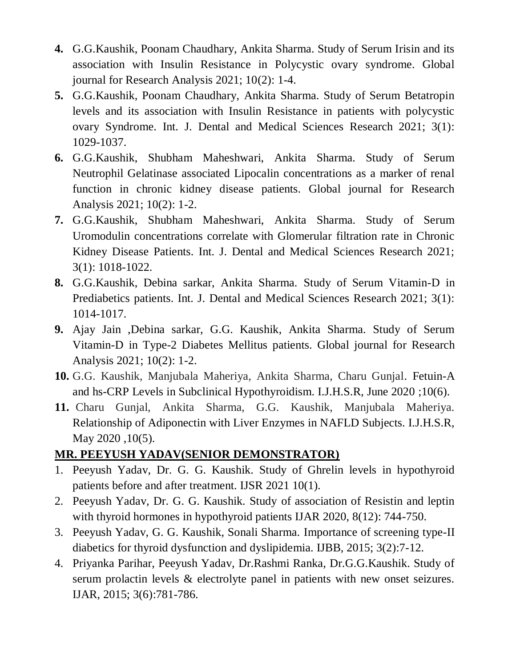- **4.** G.G.Kaushik, Poonam Chaudhary, Ankita Sharma. Study of Serum Irisin and its association with Insulin Resistance in Polycystic ovary syndrome. Global journal for Research Analysis 2021; 10(2): 1-4.
- **5.** G.G.Kaushik, Poonam Chaudhary, Ankita Sharma. Study of Serum Betatropin levels and its association with Insulin Resistance in patients with polycystic ovary Syndrome. Int. J. Dental and Medical Sciences Research 2021; 3(1): 1029-1037.
- **6.** G.G.Kaushik, Shubham Maheshwari, Ankita Sharma. Study of Serum Neutrophil Gelatinase associated Lipocalin concentrations as a marker of renal function in chronic kidney disease patients. Global journal for Research Analysis 2021; 10(2): 1-2.
- **7.** G.G.Kaushik, Shubham Maheshwari, Ankita Sharma. Study of Serum Uromodulin concentrations correlate with Glomerular filtration rate in Chronic Kidney Disease Patients. Int. J. Dental and Medical Sciences Research 2021; 3(1): 1018-1022.
- **8.** G.G.Kaushik, Debina sarkar, Ankita Sharma. Study of Serum Vitamin-D in Prediabetics patients. Int. J. Dental and Medical Sciences Research 2021; 3(1): 1014-1017.
- **9.** Ajay Jain ,Debina sarkar, G.G. Kaushik, Ankita Sharma. Study of Serum Vitamin-D in Type-2 Diabetes Mellitus patients. Global journal for Research Analysis 2021; 10(2): 1-2.
- **10.** G.G. Kaushik, Manjubala Maheriya, Ankita Sharma, Charu Gunjal. Fetuin-A and hs-CRP Levels in Subclinical Hypothyroidism. I.J.H.S.R, June 2020 ;10(6).
- **11.** Charu Gunjal, Ankita Sharma, G.G. Kaushik, Manjubala Maheriya. Relationship of Adiponectin with Liver Enzymes in NAFLD Subjects. I.J.H.S.R, May 2020 ,10(5).

## **MR. PEEYUSH YADAV(SENIOR DEMONSTRATOR)**

- 1. Peeyush Yadav, Dr. G. G. Kaushik. Study of Ghrelin levels in hypothyroid patients before and after treatment. IJSR 2021 10(1).
- 2. Peeyush Yadav, Dr. G. G. Kaushik. Study of association of Resistin and leptin with thyroid hormones in hypothyroid patients IJAR 2020, 8(12): 744-750.
- 3. Peeyush Yadav, G. G. Kaushik, Sonali Sharma. Importance of screening type-II diabetics for thyroid dysfunction and dyslipidemia. IJBB, 2015; 3(2):7-12.
- 4. Priyanka Parihar, Peeyush Yadav, Dr.Rashmi Ranka, Dr.G.G.Kaushik. Study of serum prolactin levels & electrolyte panel in patients with new onset seizures. IJAR, 2015; 3(6):781-786.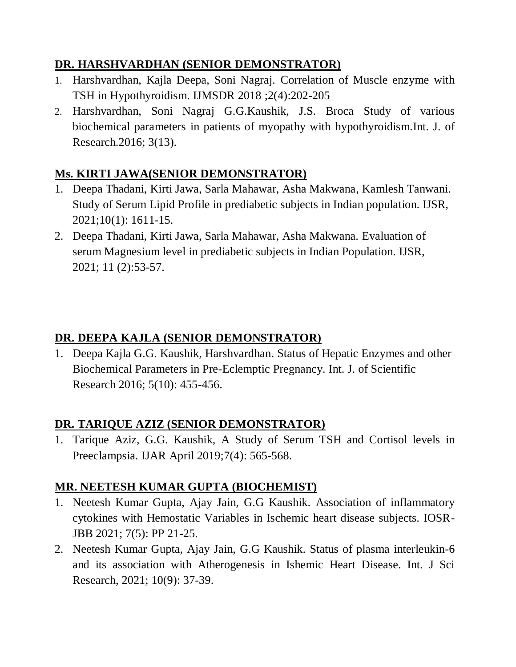# **DR. HARSHVARDHAN (SENIOR DEMONSTRATOR)**

- 1. Harshvardhan, Kajla Deepa, Soni Nagraj. Correlation of Muscle enzyme with TSH in Hypothyroidism. IJMSDR 2018 ;2(4):202-205
- 2. Harshvardhan, Soni Nagraj G.G.Kaushik, J.S. Broca Study of various biochemical parameters in patients of myopathy with hypothyroidism.Int. J. of Research.2016; 3(13).

## **Ms. KIRTI JAWA(SENIOR DEMONSTRATOR)**

- 1. Deepa Thadani, Kirti Jawa, Sarla Mahawar, Asha Makwana, Kamlesh Tanwani. Study of Serum Lipid Profile in prediabetic subjects in Indian population. IJSR, 2021;10(1): 1611-15.
- 2. Deepa Thadani, Kirti Jawa, Sarla Mahawar, Asha Makwana. Evaluation of serum Magnesium level in prediabetic subjects in Indian Population. IJSR, 2021; 11 (2):53-57.

## **DR. DEEPA KAJLA (SENIOR DEMONSTRATOR)**

1. Deepa Kajla G.G. Kaushik, Harshvardhan. Status of Hepatic Enzymes and other Biochemical Parameters in Pre-Eclemptic Pregnancy. Int. J. of Scientific Research 2016; 5(10): 455-456.

## **DR. TARIQUE AZIZ (SENIOR DEMONSTRATOR)**

1. Tarique Aziz, G.G. Kaushik, A Study of Serum TSH and Cortisol levels in Preeclampsia. IJAR April 2019;7(4): 565-568.

## **MR. NEETESH KUMAR GUPTA (BIOCHEMIST)**

- 1. Neetesh Kumar Gupta, Ajay Jain, G.G Kaushik. Association of inflammatory cytokines with Hemostatic Variables in Ischemic heart disease subjects. IOSR-JBB 2021; 7(5): PP 21-25.
- 2. Neetesh Kumar Gupta, Ajay Jain, G.G Kaushik. Status of plasma interleukin-6 and its association with Atherogenesis in Ishemic Heart Disease. Int. J Sci Research, 2021; 10(9): 37-39.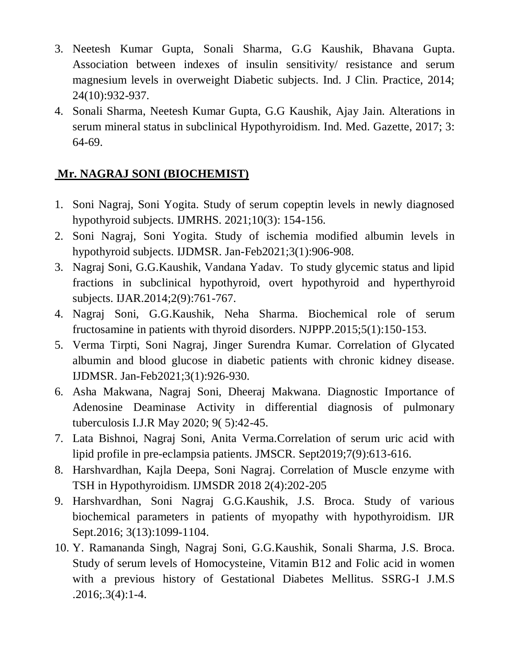- 3. Neetesh Kumar Gupta, Sonali Sharma, G.G Kaushik, Bhavana Gupta. Association between indexes of insulin sensitivity/ resistance and serum magnesium levels in overweight Diabetic subjects. Ind. J Clin. Practice, 2014; 24(10):932-937.
- 4. Sonali Sharma, Neetesh Kumar Gupta, G.G Kaushik, Ajay Jain. Alterations in serum mineral status in subclinical Hypothyroidism. Ind. Med. Gazette, 2017; 3: 64-69.

## **Mr. NAGRAJ SONI (BIOCHEMIST)**

- 1. Soni Nagraj, Soni Yogita. Study of serum copeptin levels in newly diagnosed hypothyroid subjects. IJMRHS. 2021;10(3): 154-156.
- 2. Soni Nagraj, Soni Yogita. Study of ischemia modified albumin levels in hypothyroid subjects. IJDMSR. Jan-Feb2021;3(1):906-908.
- 3. Nagraj Soni, G.G.Kaushik, Vandana Yadav. To study glycemic status and lipid fractions in subclinical hypothyroid, overt hypothyroid and hyperthyroid subjects. IJAR.2014;2(9):761-767.
- 4. Nagraj Soni, G.G.Kaushik, Neha Sharma. Biochemical role of serum fructosamine in patients with thyroid disorders. NJPPP.2015;5(1):150-153.
- 5. Verma Tirpti, Soni Nagraj, Jinger Surendra Kumar. Correlation of Glycated albumin and blood glucose in diabetic patients with chronic kidney disease. IJDMSR. Jan-Feb2021;3(1):926-930.
- 6. Asha Makwana, Nagraj Soni, Dheeraj Makwana. Diagnostic Importance of Adenosine Deaminase Activity in differential diagnosis of pulmonary tuberculosis I.J.R May 2020; 9( 5):42-45.
- 7. Lata Bishnoi, Nagraj Soni, Anita Verma.Correlation of serum uric acid with lipid profile in pre-eclampsia patients. JMSCR. Sept2019;7(9):613-616.
- 8. Harshvardhan, Kajla Deepa, Soni Nagraj. Correlation of Muscle enzyme with TSH in Hypothyroidism. IJMSDR 2018 2(4):202-205
- 9. Harshvardhan, Soni Nagraj G.G.Kaushik, J.S. Broca. Study of various biochemical parameters in patients of myopathy with hypothyroidism. IJR Sept.2016; 3(13):1099-1104.
- 10. Y. Ramananda Singh, Nagraj Soni, G.G.Kaushik, Sonali Sharma, J.S. Broca. Study of serum levels of Homocysteine, Vitamin B12 and Folic acid in women with a previous history of Gestational Diabetes Mellitus. SSRG-I J.M.S .2016;.3(4):1-4.